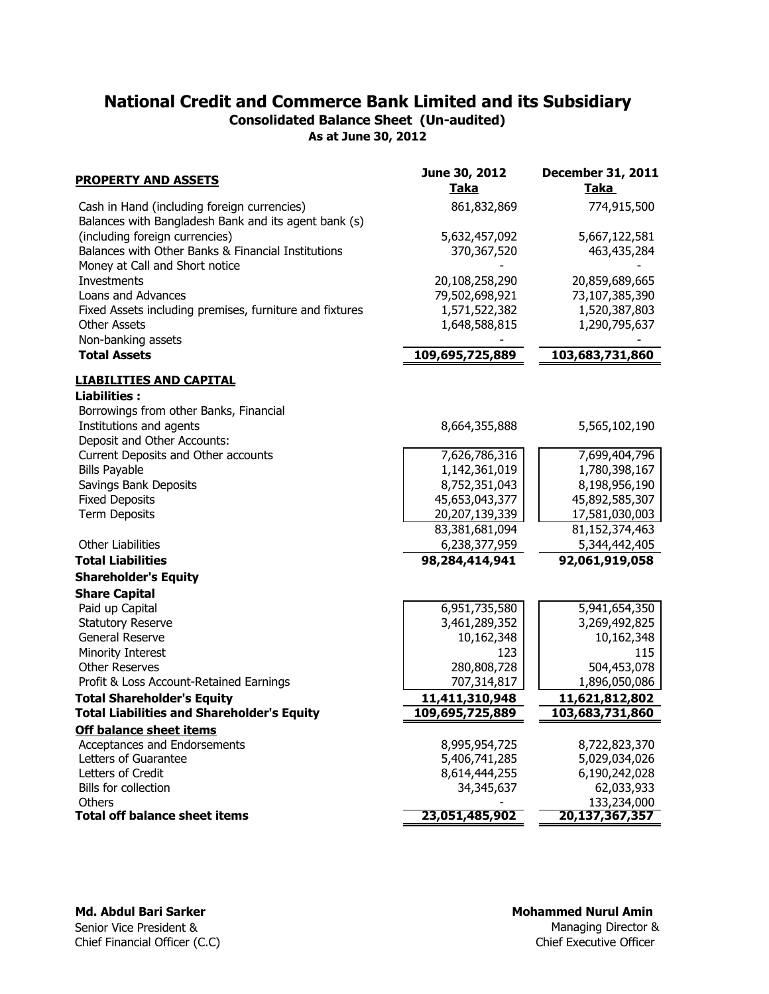Consolidated Balance Sheet (Un-audited)

As at June 30, 2012

| <b>PROPERTY AND ASSETS</b>                                                                          | June 30, 2012<br><b>Taka</b>      | <b>December 31, 2011</b><br>Taka |
|-----------------------------------------------------------------------------------------------------|-----------------------------------|----------------------------------|
| Cash in Hand (including foreign currencies)<br>Balances with Bangladesh Bank and its agent bank (s) | 861,832,869                       | 774,915,500                      |
| (including foreign currencies)                                                                      | 5,632,457,092                     | 5,667,122,581                    |
| Balances with Other Banks & Financial Institutions                                                  | 370,367,520                       | 463, 435, 284                    |
| Money at Call and Short notice                                                                      |                                   |                                  |
| Investments                                                                                         | 20,108,258,290                    | 20,859,689,665                   |
| Loans and Advances                                                                                  | 79,502,698,921                    | 73,107,385,390                   |
| Fixed Assets including premises, furniture and fixtures                                             | 1,571,522,382                     | 1,520,387,803                    |
| <b>Other Assets</b>                                                                                 | 1,648,588,815                     | 1,290,795,637                    |
| Non-banking assets                                                                                  |                                   |                                  |
| <b>Total Assets</b>                                                                                 | 109,695,725,889                   | 103,683,731,860                  |
| <b>LIABILITIES AND CAPITAL</b>                                                                      |                                   |                                  |
| <b>Liabilities:</b>                                                                                 |                                   |                                  |
| Borrowings from other Banks, Financial                                                              |                                   |                                  |
| Institutions and agents                                                                             | 8,664,355,888                     | 5,565,102,190                    |
| Deposit and Other Accounts:                                                                         |                                   |                                  |
| Current Deposits and Other accounts                                                                 | 7,626,786,316                     | 7,699,404,796                    |
| <b>Bills Payable</b>                                                                                | 1,142,361,019                     | 1,780,398,167                    |
| Savings Bank Deposits                                                                               | 8,752,351,043                     | 8,198,956,190                    |
| <b>Fixed Deposits</b><br><b>Term Deposits</b>                                                       | 45,653,043,377                    | 45,892,585,307                   |
|                                                                                                     | 20,207,139,339<br>83,381,681,094  | 17,581,030,003<br>81,152,374,463 |
| <b>Other Liabilities</b>                                                                            | 6,238,377,959                     | 5,344,442,405                    |
| <b>Total Liabilities</b>                                                                            |                                   |                                  |
|                                                                                                     | 98,284,414,941                    | 92,061,919,058                   |
| <b>Shareholder's Equity</b>                                                                         |                                   |                                  |
| <b>Share Capital</b>                                                                                |                                   |                                  |
| Paid up Capital                                                                                     | 6,951,735,580                     | 5,941,654,350                    |
| <b>Statutory Reserve</b>                                                                            | 3,461,289,352                     | 3,269,492,825                    |
| General Reserve                                                                                     | 10,162,348<br>123                 | 10,162,348<br>115                |
| Minority Interest<br><b>Other Reserves</b>                                                          | 280,808,728                       | 504,453,078                      |
| Profit & Loss Account-Retained Earnings                                                             | 707,314,817                       | 1,896,050,086                    |
|                                                                                                     |                                   |                                  |
| <b>Total Shareholder's Equity</b><br><b>Total Liabilities and Shareholder's Equity</b>              | 11,411,310,948<br>109,695,725,889 | 11,621,812,802                   |
|                                                                                                     |                                   | 103,683,731,860                  |
| <b>Off balance sheet items</b>                                                                      |                                   |                                  |
| Acceptances and Endorsements                                                                        | 8,995,954,725                     | 8,722,823,370                    |
| Letters of Guarantee<br>Letters of Credit                                                           | 5,406,741,285<br>8,614,444,255    | 5,029,034,026                    |
| Bills for collection                                                                                | 34,345,637                        | 6,190,242,028<br>62,033,933      |
| Others                                                                                              |                                   | 133,234,000                      |
| <b>Total off balance sheet items</b>                                                                | 23,051,485,902                    | 20,137,367,357                   |
|                                                                                                     |                                   |                                  |

Md. Abdul Bari Sarker Senior Vice President & Chief Financial Officer (C.C)

## Mohammed Nurul Amin

Chief Executive Officer Managing Director &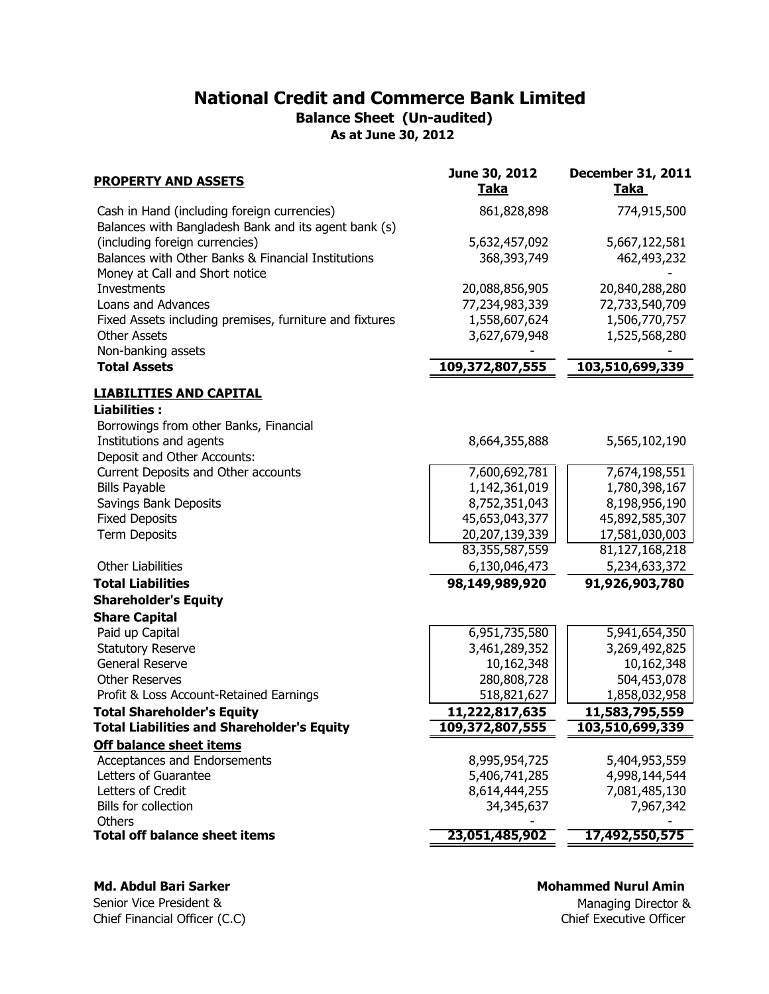Balance Sheet (Un-audited)

As at June 30, 2012

| <b>PROPERTY AND ASSETS</b>                                                                          | June 30, 2012<br><u>Taka</u> | <b>December 31, 2011</b><br>Taka |
|-----------------------------------------------------------------------------------------------------|------------------------------|----------------------------------|
| Cash in Hand (including foreign currencies)<br>Balances with Bangladesh Bank and its agent bank (s) | 861,828,898                  | 774,915,500                      |
| (including foreign currencies)                                                                      | 5,632,457,092                | 5,667,122,581                    |
| Balances with Other Banks & Financial Institutions<br>Money at Call and Short notice                | 368,393,749                  | 462,493,232                      |
| Investments                                                                                         | 20,088,856,905               | 20,840,288,280                   |
| Loans and Advances                                                                                  | 77,234,983,339               | 72,733,540,709                   |
| Fixed Assets including premises, furniture and fixtures                                             | 1,558,607,624                | 1,506,770,757                    |
| <b>Other Assets</b>                                                                                 | 3,627,679,948                | 1,525,568,280                    |
| Non-banking assets                                                                                  |                              |                                  |
| <b>Total Assets</b>                                                                                 | 109,372,807,555              | 103,510,699,339                  |
| <b>LIABILITIES AND CAPITAL</b>                                                                      |                              |                                  |
| <b>Liabilities:</b>                                                                                 |                              |                                  |
| Borrowings from other Banks, Financial                                                              |                              |                                  |
| Institutions and agents                                                                             | 8,664,355,888                | 5,565,102,190                    |
| Deposit and Other Accounts:                                                                         | 7,600,692,781                | 7,674,198,551                    |
| Current Deposits and Other accounts<br><b>Bills Payable</b>                                         | 1,142,361,019                | 1,780,398,167                    |
| Savings Bank Deposits                                                                               | 8,752,351,043                | 8,198,956,190                    |
| <b>Fixed Deposits</b>                                                                               | 45,653,043,377               | 45,892,585,307                   |
| <b>Term Deposits</b>                                                                                | 20,207,139,339               | 17,581,030,003                   |
|                                                                                                     | 83,355,587,559               | 81,127,168,218                   |
| <b>Other Liabilities</b>                                                                            | 6,130,046,473                | 5,234,633,372                    |
| <b>Total Liabilities</b>                                                                            | 98,149,989,920               | 91,926,903,780                   |
| <b>Shareholder's Equity</b>                                                                         |                              |                                  |
| <b>Share Capital</b>                                                                                |                              |                                  |
| Paid up Capital                                                                                     | 6,951,735,580                | 5,941,654,350                    |
| <b>Statutory Reserve</b>                                                                            | 3,461,289,352                | 3,269,492,825                    |
| General Reserve                                                                                     | 10,162,348                   | 10,162,348                       |
| <b>Other Reserves</b>                                                                               | 280,808,728                  | 504,453,078                      |
| Profit & Loss Account-Retained Earnings                                                             | 518,821,627                  | 1,858,032,958                    |
| <b>Total Shareholder's Equity</b>                                                                   | 11,222,817,635               | 11,583,795,559                   |
| <b>Total Liabilities and Shareholder's Equity</b>                                                   | 109,372,807,555              | 103.510.699.339                  |
| <b>Off balance sheet items</b>                                                                      |                              |                                  |
| Acceptances and Endorsements                                                                        | 8,995,954,725                | 5,404,953,559                    |
| Letters of Guarantee                                                                                | 5,406,741,285                | 4,998,144,544                    |
| Letters of Credit                                                                                   | 8,614,444,255                | 7,081,485,130                    |
| Bills for collection                                                                                | 34,345,637                   | 7,967,342                        |
| Others<br><b>Total off balance sheet items</b>                                                      | 23,051,485,902               | 17,492,550,575                   |
|                                                                                                     |                              |                                  |

## Md. Abdul Bari Sarker

Senior Vice President & Chief Financial Officer (C.C)

### Mohammed Nurul Amin

Chief Executive Officer Managing Director &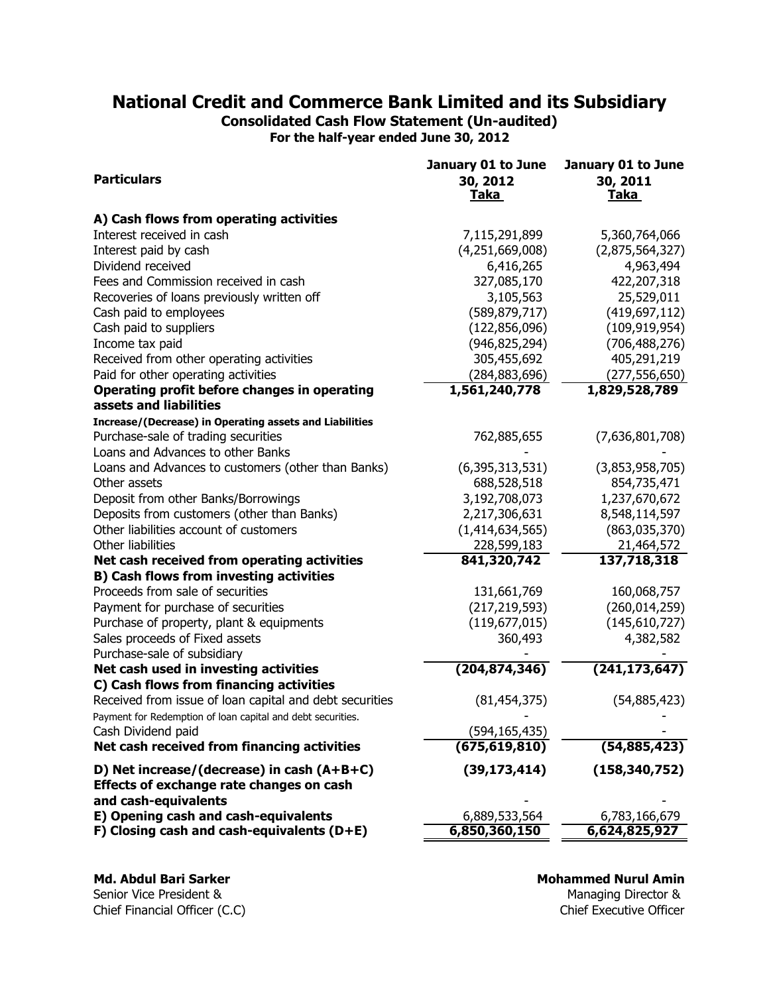Consolidated Cash Flow Statement (Un-audited)

For the half-year ended June 30, 2012

|                                                              | January 01 to June | January 01 to June |
|--------------------------------------------------------------|--------------------|--------------------|
| <b>Particulars</b>                                           | 30, 2012           | 30, 2011           |
|                                                              | <u>Taka</u>        | <b>Taka</b>        |
| A) Cash flows from operating activities                      |                    |                    |
| Interest received in cash                                    | 7,115,291,899      | 5,360,764,066      |
| Interest paid by cash                                        | (4,251,669,008)    | (2,875,564,327)    |
| Dividend received                                            | 6,416,265          | 4,963,494          |
| Fees and Commission received in cash                         | 327,085,170        | 422,207,318        |
| Recoveries of loans previously written off                   | 3,105,563          | 25,529,011         |
| Cash paid to employees                                       | (589, 879, 717)    | (419, 697, 112)    |
| Cash paid to suppliers                                       | (122, 856, 096)    | (109, 919, 954)    |
| Income tax paid                                              | (946, 825, 294)    | (706, 488, 276)    |
| Received from other operating activities                     | 305,455,692        | 405,291,219        |
| Paid for other operating activities                          | (284,883,696)      | (277, 556, 650)    |
| Operating profit before changes in operating                 | 1,561,240,778      | 1,829,528,789      |
| assets and liabilities                                       |                    |                    |
| Increase/(Decrease) in Operating assets and Liabilities      |                    |                    |
| Purchase-sale of trading securities                          | 762,885,655        | (7,636,801,708)    |
| Loans and Advances to other Banks                            |                    |                    |
| Loans and Advances to customers (other than Banks)           | (6, 395, 313, 531) | (3,853,958,705)    |
| Other assets                                                 | 688,528,518        | 854,735,471        |
| Deposit from other Banks/Borrowings                          | 3,192,708,073      | 1,237,670,672      |
| Deposits from customers (other than Banks)                   | 2,217,306,631      | 8,548,114,597      |
| Other liabilities account of customers                       | (1, 414, 634, 565) | (863,035,370)      |
| Other liabilities                                            | 228,599,183        | 21,464,572         |
| Net cash received from operating activities                  | 841,320,742        | 137,718,318        |
| <b>B) Cash flows from investing activities</b>               |                    |                    |
| Proceeds from sale of securities                             | 131,661,769        | 160,068,757        |
| Payment for purchase of securities                           | (217, 219, 593)    | (260, 014, 259)    |
| Purchase of property, plant & equipments                     | (119, 677, 015)    | (145,610,727)      |
| Sales proceeds of Fixed assets                               | 360,493            | 4,382,582          |
| Purchase-sale of subsidiary                                  |                    |                    |
| Net cash used in investing activities                        | (204, 874, 346)    | (241, 173, 647)    |
| C) Cash flows from financing activities                      |                    |                    |
| Received from issue of loan capital and debt securities      | (81, 454, 375)     | (54,885,423)       |
| Payment for Redemption of loan capital and debt securities.  |                    |                    |
| Cash Dividend paid                                           | (594,165,435)      |                    |
| Net cash received from financing activities                  | (675, 619, 810)    | (54, 885, 423)     |
| D) Net increase/(decrease) in cash $(A+B+C)$                 | (39, 173, 414)     | (158, 340, 752)    |
| Effects of exchange rate changes on cash                     |                    |                    |
| and cash-equivalents<br>E) Opening cash and cash-equivalents | 6,889,533,564      | 6,783,166,679      |
| F) Closing cash and cash-equivalents $(D+E)$                 | 6,850,360,150      | 6,624,825,927      |
|                                                              |                    |                    |

Md. Abdul Bari Sarker Senior Vice President &

Mohammed Nurul Amin

Chief Financial Officer (C.C) Chief Executive Officer Managing Director &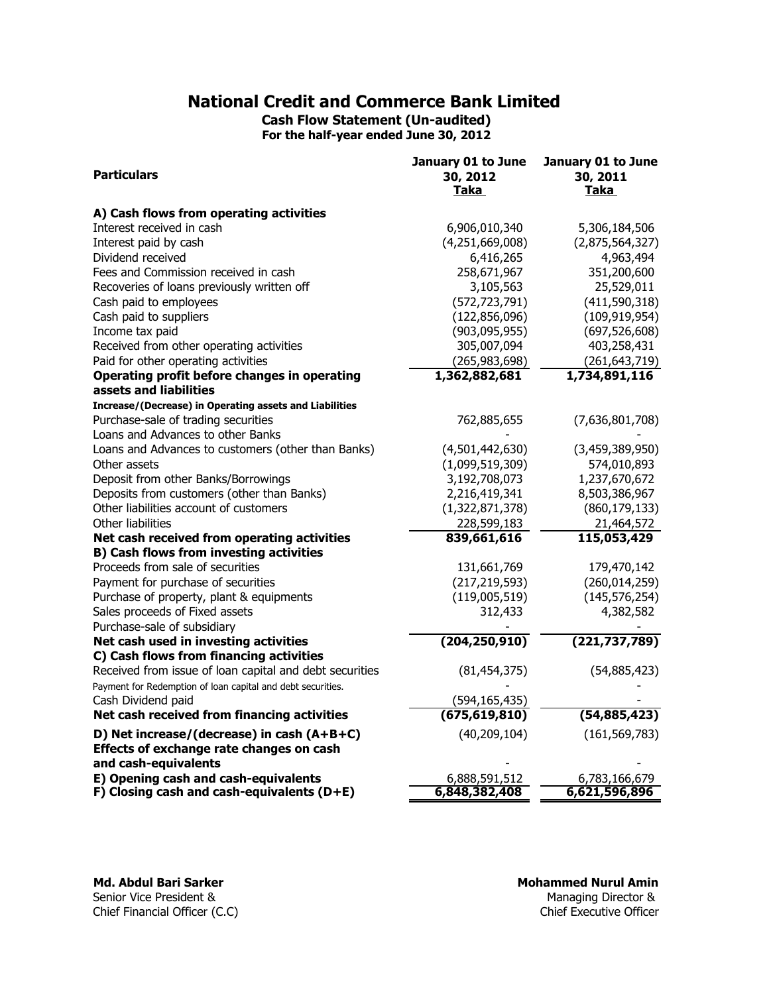Cash Flow Statement (Un-audited) For the half-year ended June 30, 2012

|                                                             | January 01 to June | January 01 to June |
|-------------------------------------------------------------|--------------------|--------------------|
| <b>Particulars</b>                                          | 30, 2012           | 30, 2011           |
|                                                             | Taka               | Taka               |
| A) Cash flows from operating activities                     |                    |                    |
| Interest received in cash                                   | 6,906,010,340      | 5,306,184,506      |
| Interest paid by cash                                       | (4,251,669,008)    | (2,875,564,327)    |
| Dividend received                                           | 6,416,265          | 4,963,494          |
| Fees and Commission received in cash                        | 258,671,967        | 351,200,600        |
| Recoveries of loans previously written off                  | 3,105,563          | 25,529,011         |
| Cash paid to employees                                      | (572, 723, 791)    | (411, 590, 318)    |
| Cash paid to suppliers                                      | (122, 856, 096)    | (109, 919, 954)    |
| Income tax paid                                             | (903, 095, 955)    | (697, 526, 608)    |
| Received from other operating activities                    | 305,007,094        | 403,258,431        |
| Paid for other operating activities                         | (265, 983, 698)    | (261, 643, 719)    |
| Operating profit before changes in operating                | 1,362,882,681      | 1,734,891,116      |
| assets and liabilities                                      |                    |                    |
| Increase/(Decrease) in Operating assets and Liabilities     |                    |                    |
| Purchase-sale of trading securities                         | 762,885,655        | (7,636,801,708)    |
| Loans and Advances to other Banks                           |                    |                    |
| Loans and Advances to customers (other than Banks)          | (4,501,442,630)    | (3,459,389,950)    |
| Other assets                                                | (1,099,519,309)    | 574,010,893        |
| Deposit from other Banks/Borrowings                         | 3,192,708,073      | 1,237,670,672      |
| Deposits from customers (other than Banks)                  | 2,216,419,341      | 8,503,386,967      |
| Other liabilities account of customers                      | (1,322,871,378)    | (860, 179, 133)    |
| Other liabilities                                           | 228,599,183        | 21,464,572         |
| Net cash received from operating activities                 | 839,661,616        | 115,053,429        |
| <b>B) Cash flows from investing activities</b>              |                    |                    |
| Proceeds from sale of securities                            | 131,661,769        | 179,470,142        |
| Payment for purchase of securities                          | (217, 219, 593)    | (260, 014, 259)    |
| Purchase of property, plant & equipments                    | (119,005,519)      | (145, 576, 254)    |
| Sales proceeds of Fixed assets                              | 312,433            | 4,382,582          |
| Purchase-sale of subsidiary                                 |                    |                    |
| Net cash used in investing activities                       | (204, 250, 910)    | (221, 737, 789)    |
| C) Cash flows from financing activities                     |                    |                    |
| Received from issue of loan capital and debt securities     | (81, 454, 375)     | (54,885,423)       |
| Payment for Redemption of loan capital and debt securities. |                    |                    |
| Cash Dividend paid                                          | (594, 165, 435)    |                    |
| Net cash received from financing activities                 | (675, 619, 810)    | (54, 885, 423)     |
| D) Net increase/(decrease) in cash (A+B+C)                  | (40, 209, 104)     | (161, 569, 783)    |
| Effects of exchange rate changes on cash                    |                    |                    |
| and cash-equivalents                                        |                    |                    |
| E) Opening cash and cash-equivalents                        | 6,888,591,512      | 6,783,166,679      |
| F) Closing cash and cash-equivalents $(D+E)$                | 6,848,382,408      | 6,621,596,896      |

Md. Abdul Bari Sarker Senior Vice President & Chief Financial Officer (C.C)

Managing Director &<br>Chief Executive Officer Mohammed Nurul Amin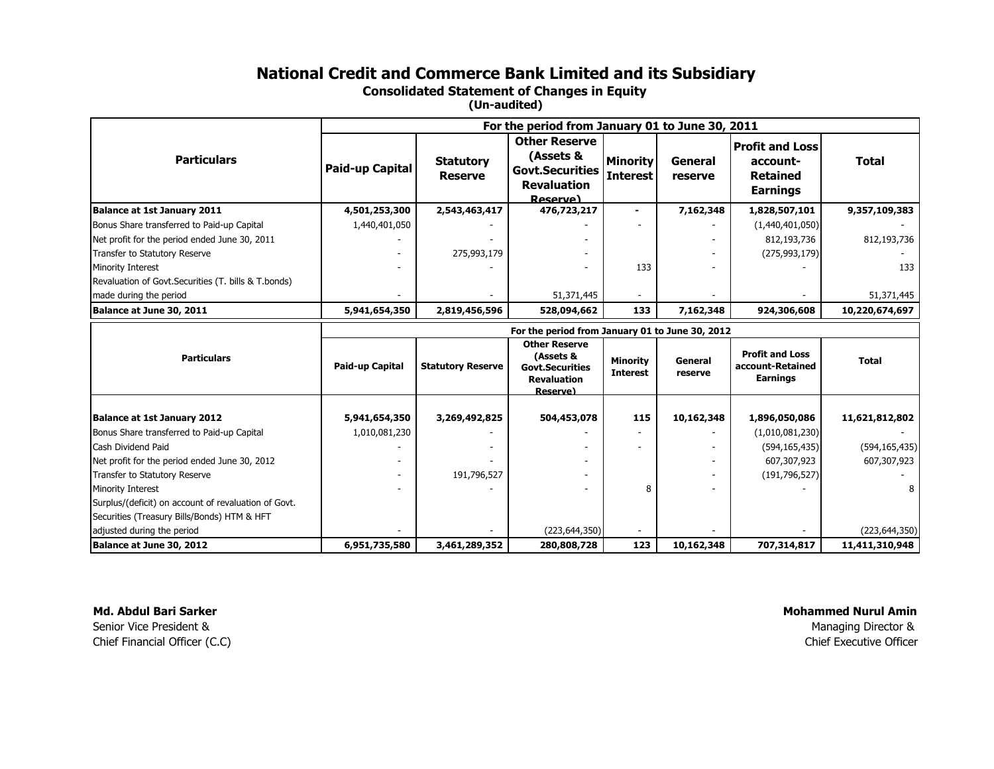Consolidated Statement of Changes in Equity

(Un-audited)

|                                                        | For the period from January 01 to June 30, 2011 |                          |                                                                                                      |                                    |                           |                                                               |                                   |
|--------------------------------------------------------|-------------------------------------------------|--------------------------|------------------------------------------------------------------------------------------------------|------------------------------------|---------------------------|---------------------------------------------------------------|-----------------------------------|
|                                                        |                                                 |                          | <b>Other Reserve</b>                                                                                 |                                    |                           | <b>Profit and Loss</b>                                        |                                   |
| <b>Particulars</b>                                     |                                                 | <b>Statutory</b>         | (Assets &                                                                                            | <b>Minority</b>                    | General                   | account-                                                      | <b>Total</b>                      |
|                                                        | Paid-up Capital                                 | <b>Reserve</b>           | <b>Govt.Securities</b>                                                                               | <b>Interest</b>                    | reserve                   | <b>Retained</b>                                               |                                   |
|                                                        |                                                 |                          | <b>Revaluation</b>                                                                                   |                                    |                           | <b>Earnings</b>                                               |                                   |
| Balance at 1st January 2011                            | 4,501,253,300                                   | 2,543,463,417            | Reserve)<br>476,723,217                                                                              |                                    | 7,162,348                 | 1,828,507,101                                                 | 9,357,109,383                     |
| Bonus Share transferred to Paid-up Capital             | 1,440,401,050                                   |                          |                                                                                                      |                                    |                           | (1,440,401,050)                                               |                                   |
| Net profit for the period ended June 30, 2011          |                                                 |                          |                                                                                                      |                                    |                           | 812,193,736                                                   | 812,193,736                       |
| Transfer to Statutory Reserve                          |                                                 | 275,993,179              |                                                                                                      |                                    |                           | (275, 993, 179)                                               |                                   |
| Minority Interest                                      |                                                 |                          |                                                                                                      | 133                                |                           |                                                               | 133                               |
| Revaluation of Govt. Securities (T. bills & T. bonds)  |                                                 |                          |                                                                                                      |                                    |                           |                                                               |                                   |
| made during the period                                 |                                                 |                          | 51,371,445                                                                                           |                                    |                           |                                                               | 51,371,445                        |
| Balance at June 30, 2011                               | 5,941,654,350                                   | 2,819,456,596            | 528,094,662                                                                                          | 133                                | 7,162,348                 | 924,306,608                                                   | 10,220,674,697                    |
|                                                        | For the period from January 01 to June 30, 2012 |                          |                                                                                                      |                                    |                           |                                                               |                                   |
| <b>Particulars</b>                                     | Paid-up Capital                                 | <b>Statutory Reserve</b> | <b>Other Reserve</b><br>(Assets &<br><b>Govt.Securities</b><br><b>Revaluation</b><br><b>Reserve)</b> | <b>Minority</b><br><b>Interest</b> | <b>General</b><br>reserve | <b>Profit and Loss</b><br>account-Retained<br><b>Earnings</b> | <b>Total</b>                      |
| <b>Balance at 1st January 2012</b>                     | 5,941,654,350                                   | 3,269,492,825            | 504,453,078                                                                                          | 115                                | 10,162,348                | 1,896,050,086                                                 | 11,621,812,802                    |
| Bonus Share transferred to Paid-up Capital             | 1,010,081,230                                   |                          |                                                                                                      |                                    |                           | (1,010,081,230)                                               |                                   |
| Cash Dividend Paid                                     |                                                 |                          |                                                                                                      |                                    |                           | (594, 165, 435)                                               | (594, 165, 435)                   |
| Net profit for the period ended June 30, 2012          |                                                 |                          |                                                                                                      |                                    |                           | 607,307,923                                                   | 607,307,923                       |
|                                                        |                                                 |                          |                                                                                                      |                                    |                           |                                                               |                                   |
| Transfer to Statutory Reserve                          |                                                 | 191,796,527              |                                                                                                      |                                    |                           | (191, 796, 527)                                               |                                   |
| Minority Interest                                      |                                                 |                          |                                                                                                      | 8                                  |                           |                                                               |                                   |
| Surplus/(deficit) on account of revaluation of Govt.   |                                                 |                          |                                                                                                      |                                    |                           |                                                               |                                   |
| Securities (Treasury Bills/Bonds) HTM & HFT            |                                                 |                          |                                                                                                      |                                    |                           |                                                               |                                   |
| adjusted during the period<br>Balance at June 30, 2012 | 6,951,735,580                                   | 3,461,289,352            | (223, 644, 350)<br>280,808,728                                                                       | 123                                | 10,162,348                |                                                               | (223, 644, 350)<br>11,411,310,948 |

Md. Abdul Bari Sarker Senior Vice President &Chief Financial Officer (C.C)

Chief Executive Officer Mohammed Nurul AminManaging Director &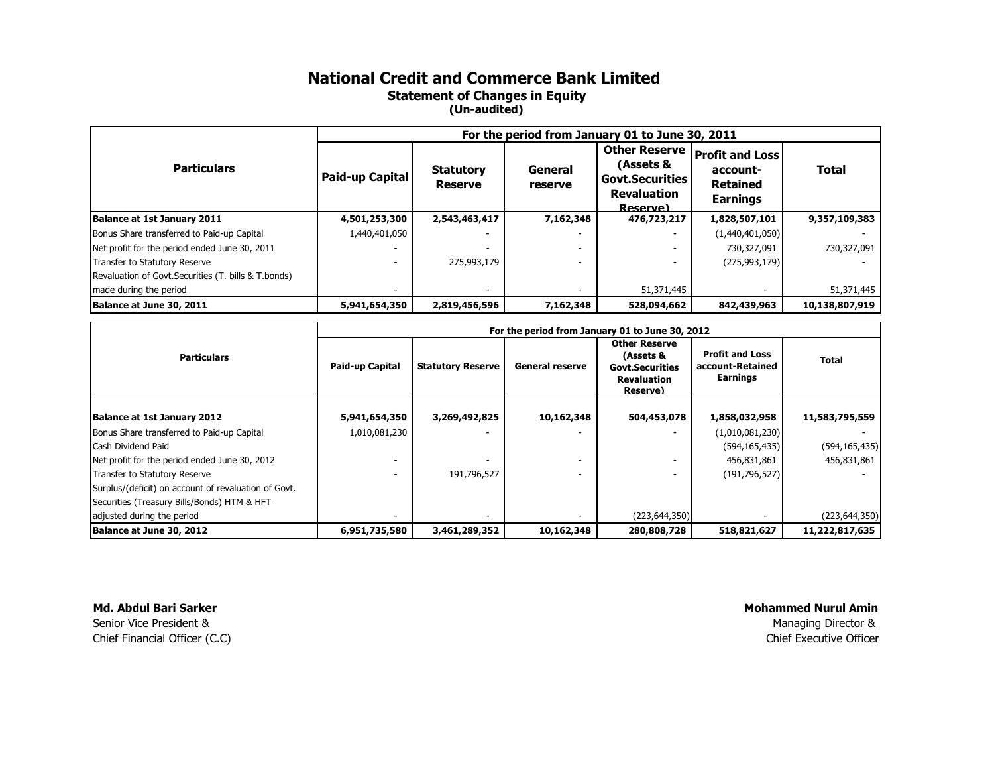## National Credit and Commerce Bank Limited Statement of Changes in Equity (Un-audited)

|                                                       | For the period from January 01 to June 30, 2011 |                                    |                    |                                                                                               |                                                                          |                |
|-------------------------------------------------------|-------------------------------------------------|------------------------------------|--------------------|-----------------------------------------------------------------------------------------------|--------------------------------------------------------------------------|----------------|
| <b>Particulars</b>                                    | Paid-up Capital                                 | <b>Statutory</b><br><b>Reserve</b> | General<br>reserve | <b>Other Reserve</b><br>(Assets &<br><b>Govt.Securities</b><br><b>Revaluation</b><br>Reserve) | <b>Profit and Loss</b><br>account-<br><b>Retained</b><br><b>Earnings</b> | <b>Total</b>   |
| <b>Balance at 1st January 2011</b>                    | 4,501,253,300                                   | 2,543,463,417                      | 7,162,348          | 476,723,217                                                                                   | 1,828,507,101                                                            | 9,357,109,383  |
| Bonus Share transferred to Paid-up Capital            | 1,440,401,050                                   |                                    |                    |                                                                                               | (1,440,401,050)                                                          |                |
| Net profit for the period ended June 30, 2011         |                                                 |                                    |                    |                                                                                               | 730,327,091                                                              | 730,327,091    |
| Transfer to Statutory Reserve                         |                                                 | 275,993,179                        |                    |                                                                                               | (275, 993, 179)                                                          |                |
| Revaluation of Govt. Securities (T. bills & T. bonds) |                                                 |                                    |                    |                                                                                               |                                                                          |                |
| made during the period                                |                                                 |                                    |                    | 51,371,445                                                                                    |                                                                          | 51,371,445     |
| Balance at June 30, 2011                              | 5,941,654,350                                   | 2,819,456,596                      | 7,162,348          | 528,094,662                                                                                   | 842,439,963                                                              | 10,138,807,919 |

|                                                      | For the period from January 01 to June 30, 2012 |                                                                                                                                                     |            |                 |                                                        |                 |
|------------------------------------------------------|-------------------------------------------------|-----------------------------------------------------------------------------------------------------------------------------------------------------|------------|-----------------|--------------------------------------------------------|-----------------|
| <b>Particulars</b>                                   | Paid-up Capital                                 | <b>Other Reserve</b><br>(Assets &<br><b>Statutory Reserve</b><br><b>General reserve</b><br><b>Govt.Securities</b><br><b>Revaluation</b><br>Reserve) |            |                 | <b>Profit and Loss</b><br>account-Retained<br>Earnings | <b>Total</b>    |
|                                                      |                                                 |                                                                                                                                                     |            |                 |                                                        |                 |
| <b>Balance at 1st January 2012</b>                   | 5,941,654,350                                   | 3,269,492,825                                                                                                                                       | 10,162,348 | 504,453,078     | 1,858,032,958                                          | 11,583,795,559  |
| Bonus Share transferred to Paid-up Capital           | 1,010,081,230                                   |                                                                                                                                                     |            |                 | (1,010,081,230)                                        |                 |
| Cash Dividend Paid                                   |                                                 |                                                                                                                                                     |            |                 | (594, 165, 435)                                        | (594, 165, 435) |
| Net profit for the period ended June 30, 2012        |                                                 |                                                                                                                                                     |            |                 | 456,831,861                                            | 456,831,861     |
| Transfer to Statutory Reserve                        |                                                 | 191,796,527                                                                                                                                         |            |                 | (191, 796, 527)                                        |                 |
| Surplus/(deficit) on account of revaluation of Govt. |                                                 |                                                                                                                                                     |            |                 |                                                        |                 |
| Securities (Treasury Bills/Bonds) HTM & HFT          |                                                 |                                                                                                                                                     |            |                 |                                                        |                 |
| adjusted during the period                           |                                                 |                                                                                                                                                     |            | (223, 644, 350) |                                                        | (223, 644, 350) |
| Balance at June 30, 2012                             | 6,951,735,580                                   | 3,461,289,352                                                                                                                                       | 10,162,348 | 280,808,728     | 518,821,627                                            | 11,222,817,635  |

Md. Abdul Bari Sarker Senior Vice President &Chief Financial Officer (C.C)

 Chief Executive Officer Mohammed Nurul AminManaging Director &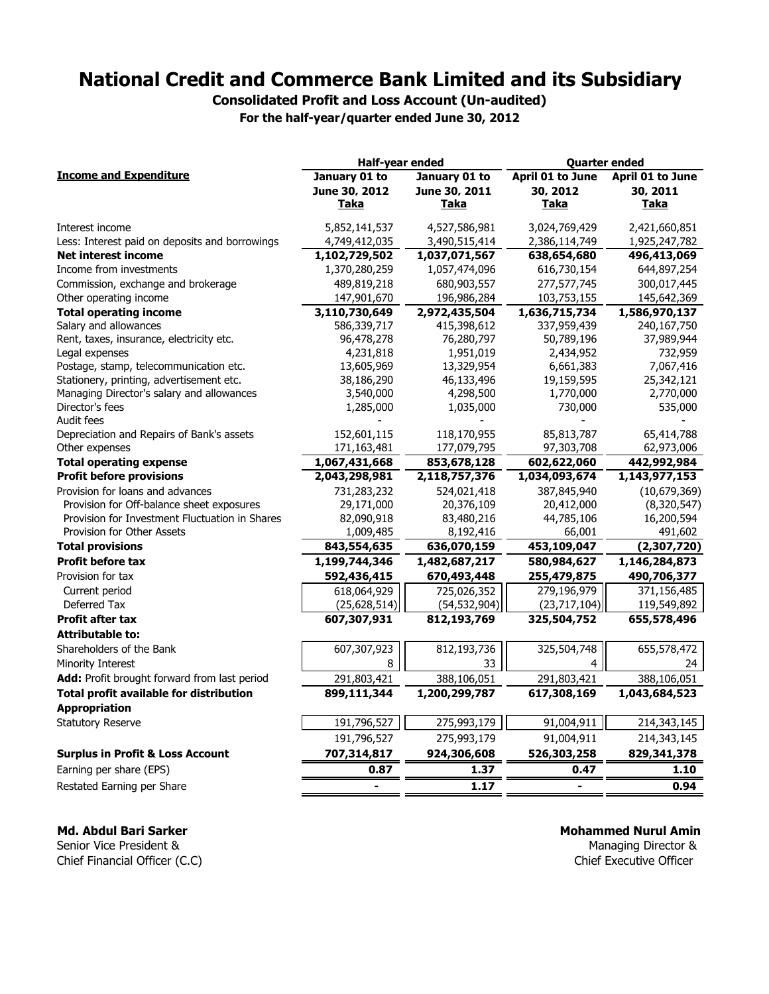Consolidated Profit and Loss Account (Un-audited)

For the half-year/quarter ended June 30, 2012

|                                                | Half-year ended |                | <b>Quarter ended</b> |                  |  |
|------------------------------------------------|-----------------|----------------|----------------------|------------------|--|
| <b>Income and Expenditure</b>                  | January 01 to   | January 01 to  | April 01 to June     | April 01 to June |  |
|                                                | June 30, 2012   | June 30, 2011  | 30, 2012             | 30, 2011         |  |
|                                                | Taka            | Taka           | Taka                 | Taka             |  |
| Interest income                                | 5,852,141,537   | 4,527,586,981  | 3,024,769,429        | 2,421,660,851    |  |
| Less: Interest paid on deposits and borrowings | 4,749,412,035   | 3,490,515,414  | 2,386,114,749        | 1,925,247,782    |  |
| <b>Net interest income</b>                     | 1,102,729,502   | 1,037,071,567  | 638,654,680          | 496,413,069      |  |
| Income from investments                        | 1,370,280,259   | 1,057,474,096  | 616,730,154          | 644,897,254      |  |
| Commission, exchange and brokerage             | 489,819,218     | 680,903,557    | 277,577,745          | 300,017,445      |  |
| Other operating income                         | 147,901,670     | 196,986,284    | 103,753,155          | 145,642,369      |  |
| <b>Total operating income</b>                  | 3,110,730,649   | 2,972,435,504  | 1,636,715,734        | 1,586,970,137    |  |
| Salary and allowances                          | 586,339,717     | 415,398,612    | 337,959,439          | 240,167,750      |  |
| Rent, taxes, insurance, electricity etc.       | 96,478,278      | 76,280,797     | 50,789,196           | 37,989,944       |  |
| Legal expenses                                 | 4,231,818       | 1,951,019      | 2,434,952            | 732,959          |  |
| Postage, stamp, telecommunication etc.         | 13,605,969      | 13,329,954     | 6,661,383            | 7,067,416        |  |
| Stationery, printing, advertisement etc.       | 38,186,290      | 46,133,496     | 19,159,595           | 25,342,121       |  |
| Managing Director's salary and allowances      | 3,540,000       | 4,298,500      | 1,770,000            | 2,770,000        |  |
| Director's fees<br>Audit fees                  | 1,285,000       | 1,035,000      | 730,000              | 535,000          |  |
| Depreciation and Repairs of Bank's assets      | 152,601,115     | 118,170,955    | 85,813,787           | 65,414,788       |  |
| Other expenses                                 | 171,163,481     | 177,079,795    | 97,303,708           | 62,973,006       |  |
| <b>Total operating expense</b>                 | 1,067,431,668   | 853,678,128    | 602,622,060          | 442,992,984      |  |
| <b>Profit before provisions</b>                | 2,043,298,981   | 2,118,757,376  | 1,034,093,674        | 1,143,977,153    |  |
| Provision for loans and advances               | 731,283,232     | 524,021,418    | 387,845,940          | (10,679,369)     |  |
| Provision for Off-balance sheet exposures      | 29,171,000      | 20,376,109     | 20,412,000           | (8,320,547)      |  |
| Provision for Investment Fluctuation in Shares | 82,090,918      | 83,480,216     | 44,785,106           | 16,200,594       |  |
| Provision for Other Assets                     | 1,009,485       | 8,192,416      | 66,001               | 491,602          |  |
| <b>Total provisions</b>                        | 843,554,635     | 636,070,159    | 453,109,047          | (2,307,720)      |  |
| Profit before tax                              | 1,199,744,346   | 1,482,687,217  | 580,984,627          | 1,146,284,873    |  |
| Provision for tax                              | 592,436,415     | 670,493,448    | 255,479,875          | 490,706,377      |  |
| Current period                                 | 618,064,929     | 725,026,352    | 279,196,979          | 371,156,485      |  |
| Deferred Tax                                   | (25, 628, 514)  | (54, 532, 904) | (23, 717, 104)       | 119,549,892      |  |
| Profit after tax                               | 607,307,931     | 812,193,769    | 325,504,752          | 655,578,496      |  |
| <b>Attributable to:</b>                        |                 |                |                      |                  |  |
| Shareholders of the Bank                       | 607,307,923     | 812,193,736    | 325,504,748          | 655,578,472      |  |
| Minority Interest                              | 8               | 33             | 4                    | 24               |  |
| Add: Profit brought forward from last period   | 291,803,421     | 388,106,051    | 291,803,421          | 388,106,051      |  |
| <b>Total profit available for distribution</b> | 899,111,344     | 1,200,299,787  | 617,308,169          | 1,043,684,523    |  |
| <b>Appropriation</b>                           |                 |                |                      |                  |  |
| <b>Statutory Reserve</b>                       | 191,796,527     | 275,993,179    | 91,004,911           | 214,343,145      |  |
|                                                | 191,796,527     | 275,993,179    | 91,004,911           | 214,343,145      |  |
| <b>Surplus in Profit &amp; Loss Account</b>    | 707,314,817     | 924,306,608    | 526,303,258          | 829,341,378      |  |
| Earning per share (EPS)                        | 0.87            | 1.37           | 0.47                 | 1.10             |  |
| Restated Earning per Share                     | $\blacksquare$  | 1.17           | $\blacksquare$       | 0.94             |  |

Md. Abdul Bari Sarker

Senior Vice President & Chief Financial Officer (C.C) Mohammed Nurul Amin

Managing Director & Chief Executive Officer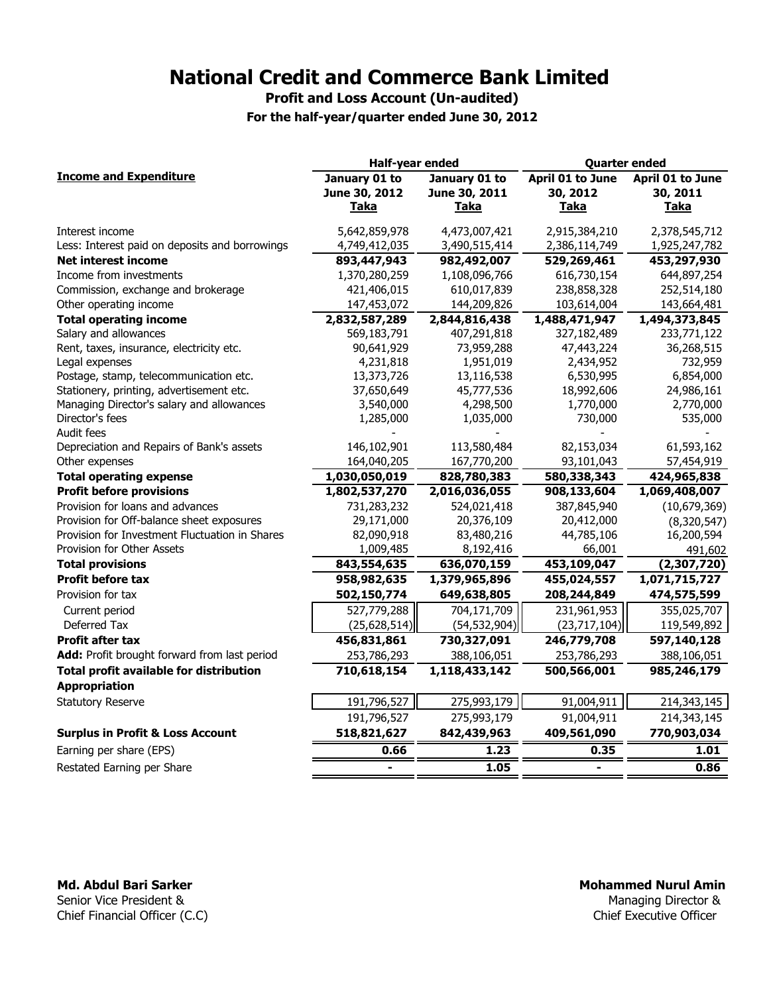Profit and Loss Account (Un-audited)

For the half-year/quarter ended June 30, 2012

|                                                | Half-year ended |                | <b>Quarter ended</b> |                  |  |
|------------------------------------------------|-----------------|----------------|----------------------|------------------|--|
| <b>Income and Expenditure</b>                  | January 01 to   | January 01 to  | April 01 to June     | April 01 to June |  |
|                                                | June 30, 2012   | June 30, 2011  | 30, 2012             | 30, 2011         |  |
|                                                | <b>Taka</b>     | <b>Taka</b>    | <b>Taka</b>          | <b>Taka</b>      |  |
| Interest income                                | 5,642,859,978   | 4,473,007,421  | 2,915,384,210        | 2,378,545,712    |  |
| Less: Interest paid on deposits and borrowings | 4,749,412,035   | 3,490,515,414  | 2,386,114,749        | 1,925,247,782    |  |
| <b>Net interest income</b>                     | 893,447,943     | 982,492,007    | 529,269,461          | 453,297,930      |  |
| Income from investments                        | 1,370,280,259   | 1,108,096,766  | 616,730,154          | 644,897,254      |  |
| Commission, exchange and brokerage             | 421,406,015     | 610,017,839    | 238,858,328          | 252,514,180      |  |
| Other operating income                         | 147,453,072     | 144,209,826    | 103,614,004          | 143,664,481      |  |
| <b>Total operating income</b>                  | 2,832,587,289   | 2,844,816,438  | 1,488,471,947        | 1,494,373,845    |  |
| Salary and allowances                          | 569,183,791     | 407,291,818    | 327,182,489          | 233,771,122      |  |
| Rent, taxes, insurance, electricity etc.       | 90,641,929      | 73,959,288     | 47,443,224           | 36,268,515       |  |
| Legal expenses                                 | 4,231,818       | 1,951,019      | 2,434,952            | 732,959          |  |
| Postage, stamp, telecommunication etc.         | 13,373,726      | 13,116,538     | 6,530,995            | 6,854,000        |  |
| Stationery, printing, advertisement etc.       | 37,650,649      | 45,777,536     | 18,992,606           | 24,986,161       |  |
| Managing Director's salary and allowances      | 3,540,000       | 4,298,500      | 1,770,000            | 2,770,000        |  |
| Director's fees                                | 1,285,000       | 1,035,000      | 730,000              | 535,000          |  |
| Audit fees                                     |                 |                |                      |                  |  |
| Depreciation and Repairs of Bank's assets      | 146,102,901     | 113,580,484    | 82,153,034           | 61,593,162       |  |
| Other expenses                                 | 164,040,205     | 167,770,200    | 93,101,043           | 57,454,919       |  |
| <b>Total operating expense</b>                 | 1,030,050,019   | 828,780,383    | 580,338,343          | 424,965,838      |  |
| <b>Profit before provisions</b>                | 1,802,537,270   | 2,016,036,055  | 908,133,604          | 1,069,408,007    |  |
| Provision for loans and advances               | 731,283,232     | 524,021,418    | 387,845,940          | (10,679,369)     |  |
| Provision for Off-balance sheet exposures      | 29,171,000      | 20,376,109     | 20,412,000           | (8,320,547)      |  |
| Provision for Investment Fluctuation in Shares | 82,090,918      | 83,480,216     | 44,785,106           | 16,200,594       |  |
| Provision for Other Assets                     | 1,009,485       | 8,192,416      | 66,001               | 491,602          |  |
| <b>Total provisions</b>                        | 843,554,635     | 636,070,159    | 453,109,047          | (2,307,720)      |  |
| <b>Profit before tax</b>                       | 958,982,635     | 1,379,965,896  | 455,024,557          | 1,071,715,727    |  |
| Provision for tax                              | 502,150,774     | 649,638,805    | 208,244,849          | 474,575,599      |  |
| Current period                                 | 527,779,288     | 704,171,709    | 231,961,953          | 355,025,707      |  |
| Deferred Tax                                   | (25, 628, 514)  | (54, 532, 904) | (23,717,104)         | 119,549,892      |  |
| <b>Profit after tax</b>                        | 456,831,861     | 730,327,091    | 246,779,708          | 597,140,128      |  |
| Add: Profit brought forward from last period   | 253,786,293     | 388,106,051    | 253,786,293          | 388,106,051      |  |
| <b>Total profit available for distribution</b> | 710,618,154     | 1,118,433,142  | 500,566,001          | 985,246,179      |  |
| <b>Appropriation</b>                           |                 |                |                      |                  |  |
| <b>Statutory Reserve</b>                       | 191,796,527     | 275,993,179    | 91,004,911           | 214,343,145      |  |
|                                                | 191,796,527     | 275,993,179    | 91,004,911           | 214,343,145      |  |
| <b>Surplus in Profit &amp; Loss Account</b>    | 518,821,627     | 842,439,963    | 409,561,090          | 770,903,034      |  |
| Earning per share (EPS)                        | 0.66            | 1.23           | 0.35                 | 1.01             |  |
| Restated Earning per Share                     |                 | 1.05           |                      | 0.86             |  |

# Md. Abdul Bari Sarker

Senior Vice President & Chief Financial Officer (C.C)

### Mohammed Nurul Amin

Managing Director & Chief Executive Officer